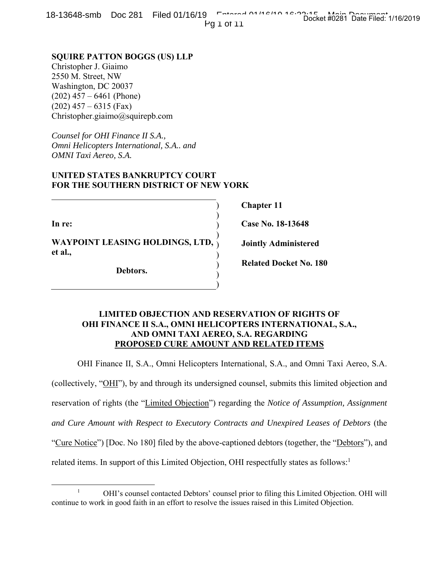18-13648-smb Doc 281 Filed 01/16/19 Entered 01/16/19 16:30:15 Pg 1 of 11 Docket #0281 Date Filed: 1/16/2019

**SQUIRE PATTON BOGGS (US) LLP** Christopher J. Giaimo 2550 M. Street, NW Washington, DC 20037  $(202)$  457 – 6461 (Phone)  $(202)$  457 – 6315 (Fax) Christopher.giaimo@squirepb.com

*Counsel for OHI Finance II S.A., Omni Helicopters International, S.A.. and OMNI Taxi Aereo, S.A.* 

# **UNITED STATES BANKRUPTCY COURT FOR THE SOUTHERN DISTRICT OF NEW YORK**

**In re:** 

**WAYPOINT LEASING HOLDINGS, LTD, et al.,**  ) ) )

**Debtors.**

**Chapter 11** 

**Case No. 18-13648** 

**Jointly Administered** 

**Related Docket No. 180** 

# **LIMITED OBJECTION AND RESERVATION OF RIGHTS OF OHI FINANCE II S.A., OMNI HELICOPTERS INTERNATIONAL, S.A., AND OMNI TAXI AEREO, S.A. REGARDING PROPOSED CURE AMOUNT AND RELATED ITEMS**

)  $\overline{)}$ )

 $\overline{)}$ ) )

OHI Finance II, S.A., Omni Helicopters International, S.A., and Omni Taxi Aereo, S.A.

(collectively, "OHI"), by and through its undersigned counsel, submits this limited objection and reservation of rights (the "Limited Objection") regarding the *Notice of Assumption, Assignment and Cure Amount with Respect to Executory Contracts and Unexpired Leases of Debtors* (the "Cure Notice") [Doc. No 180] filed by the above-captioned debtors (together, the "Debtors"), and related items. In support of this Limited Objection, OHI respectfully states as follows:<sup>1</sup>

 $\begin{array}{c|c}\n\hline\n\end{array}$ <sup>1</sup> OHI's counsel contacted Debtors' counsel prior to filing this Limited Objection. OHI will continue to work in good faith in an effort to resolve the issues raised in this Limited Objection.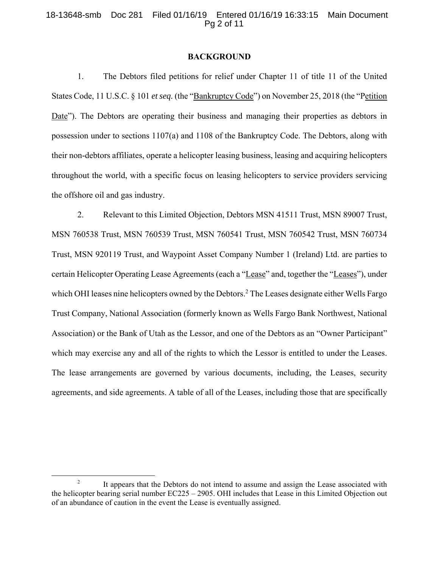## 18-13648-smb Doc 281 Filed 01/16/19 Entered 01/16/19 16:33:15 Main Document Pg 2 of 11

#### **BACKGROUND**

1. The Debtors filed petitions for relief under Chapter 11 of title 11 of the United States Code, 11 U.S.C. § 101 *et seq.* (the "Bankruptcy Code") on November 25, 2018 (the "Petition Date"). The Debtors are operating their business and managing their properties as debtors in possession under to sections 1107(a) and 1108 of the Bankruptcy Code. The Debtors, along with their non-debtors affiliates, operate a helicopter leasing business, leasing and acquiring helicopters throughout the world, with a specific focus on leasing helicopters to service providers servicing the offshore oil and gas industry.

2. Relevant to this Limited Objection, Debtors MSN 41511 Trust, MSN 89007 Trust, MSN 760538 Trust, MSN 760539 Trust, MSN 760541 Trust, MSN 760542 Trust, MSN 760734 Trust, MSN 920119 Trust, and Waypoint Asset Company Number 1 (Ireland) Ltd. are parties to certain Helicopter Operating Lease Agreements (each a "Lease" and, together the "Leases"), under which OHI leases nine helicopters owned by the Debtors.<sup>2</sup> The Leases designate either Wells Fargo Trust Company, National Association (formerly known as Wells Fargo Bank Northwest, National Association) or the Bank of Utah as the Lessor, and one of the Debtors as an "Owner Participant" which may exercise any and all of the rights to which the Lessor is entitled to under the Leases. The lease arrangements are governed by various documents, including, the Leases, security agreements, and side agreements. A table of all of the Leases, including those that are specifically

 $\overline{\phantom{a}}$ <sup>2</sup> It appears that the Debtors do not intend to assume and assign the Lease associated with the helicopter bearing serial number EC225 – 2905. OHI includes that Lease in this Limited Objection out of an abundance of caution in the event the Lease is eventually assigned.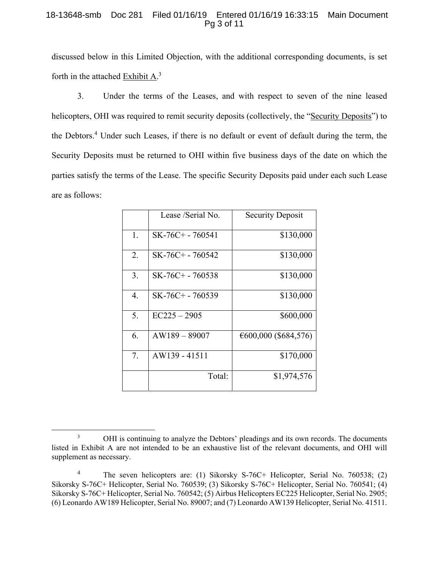# 18-13648-smb Doc 281 Filed 01/16/19 Entered 01/16/19 16:33:15 Main Document Pg 3 of 11

discussed below in this Limited Objection, with the additional corresponding documents, is set forth in the attached Exhibit A.3

3. Under the terms of the Leases, and with respect to seven of the nine leased helicopters, OHI was required to remit security deposits (collectively, the "Security Deposits") to the Debtors.<sup>4</sup> Under such Leases, if there is no default or event of default during the term, the Security Deposits must be returned to OHI within five business days of the date on which the parties satisfy the terms of the Lease. The specific Security Deposits paid under each such Lease are as follows:

|    | Lease /Serial No.  | <b>Security Deposit</b> |
|----|--------------------|-------------------------|
| 1. | SK-76C+ - 760541   | \$130,000               |
| 2. | SK-76C+ - 760542   | \$130,000               |
| 3. | $SK-76C+ - 760538$ | \$130,000               |
| 4. | $SK-76C+ - 760539$ | \$130,000               |
| 5. | $EC225 - 2905$     | \$600,000               |
| 6. | $AW189 - 89007$    | €600,000 (\$684,576)    |
| 7. | AW139 - 41511      | \$170,000               |
|    | Total:             | \$1,974,576             |

 <sup>3</sup> <sup>3</sup> OHI is continuing to analyze the Debtors' pleadings and its own records. The documents listed in Exhibit A are not intended to be an exhaustive list of the relevant documents, and OHI will supplement as necessary.

<sup>4</sup> The seven helicopters are: (1) Sikorsky S-76C+ Helicopter, Serial No. 760538; (2) Sikorsky S-76C+ Helicopter, Serial No. 760539; (3) Sikorsky S-76C+ Helicopter, Serial No. 760541; (4) Sikorsky S-76C+ Helicopter, Serial No. 760542; (5) Airbus Helicopters EC225 Helicopter, Serial No. 2905; (6) Leonardo AW189 Helicopter, Serial No. 89007; and (7) Leonardo AW139 Helicopter, Serial No. 41511.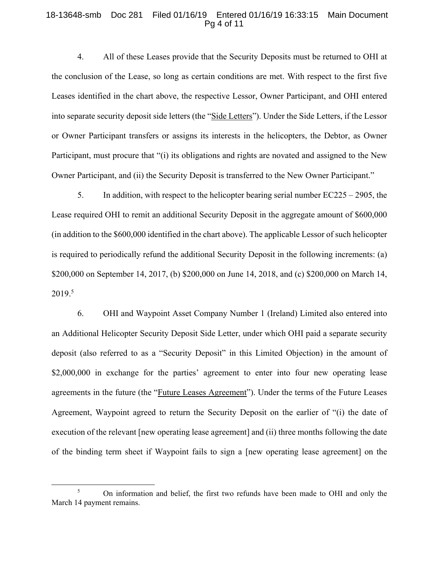#### 18-13648-smb Doc 281 Filed 01/16/19 Entered 01/16/19 16:33:15 Main Document Pg 4 of 11

4. All of these Leases provide that the Security Deposits must be returned to OHI at the conclusion of the Lease, so long as certain conditions are met. With respect to the first five Leases identified in the chart above, the respective Lessor, Owner Participant, and OHI entered into separate security deposit side letters (the "Side Letters"). Under the Side Letters, if the Lessor or Owner Participant transfers or assigns its interests in the helicopters, the Debtor, as Owner Participant, must procure that "(i) its obligations and rights are novated and assigned to the New Owner Participant, and (ii) the Security Deposit is transferred to the New Owner Participant."

5. In addition, with respect to the helicopter bearing serial number EC225 – 2905, the Lease required OHI to remit an additional Security Deposit in the aggregate amount of \$600,000 (in addition to the \$600,000 identified in the chart above). The applicable Lessor of such helicopter is required to periodically refund the additional Security Deposit in the following increments: (a) \$200,000 on September 14, 2017, (b) \$200,000 on June 14, 2018, and (c) \$200,000 on March 14, 2019.5

6. OHI and Waypoint Asset Company Number 1 (Ireland) Limited also entered into an Additional Helicopter Security Deposit Side Letter, under which OHI paid a separate security deposit (also referred to as a "Security Deposit" in this Limited Objection) in the amount of \$2,000,000 in exchange for the parties' agreement to enter into four new operating lease agreements in the future (the "Future Leases Agreement"). Under the terms of the Future Leases Agreement, Waypoint agreed to return the Security Deposit on the earlier of "(i) the date of execution of the relevant [new operating lease agreement] and (ii) three months following the date of the binding term sheet if Waypoint fails to sign a [new operating lease agreement] on the

 $rac{1}{5}$ <sup>5</sup> On information and belief, the first two refunds have been made to OHI and only the March 14 payment remains.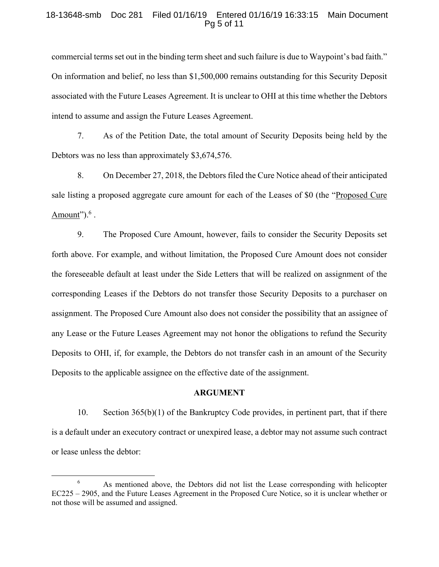## 18-13648-smb Doc 281 Filed 01/16/19 Entered 01/16/19 16:33:15 Main Document Pg 5 of 11

commercial terms set out in the binding term sheet and such failure is due to Waypoint's bad faith." On information and belief, no less than \$1,500,000 remains outstanding for this Security Deposit associated with the Future Leases Agreement. It is unclear to OHI at this time whether the Debtors intend to assume and assign the Future Leases Agreement.

7. As of the Petition Date, the total amount of Security Deposits being held by the Debtors was no less than approximately \$3,674,576.

8. On December 27, 2018, the Debtors filed the Cure Notice ahead of their anticipated sale listing a proposed aggregate cure amount for each of the Leases of \$0 (the "Proposed Cure Amount"). $^6$ .

9. The Proposed Cure Amount, however, fails to consider the Security Deposits set forth above. For example, and without limitation, the Proposed Cure Amount does not consider the foreseeable default at least under the Side Letters that will be realized on assignment of the corresponding Leases if the Debtors do not transfer those Security Deposits to a purchaser on assignment. The Proposed Cure Amount also does not consider the possibility that an assignee of any Lease or the Future Leases Agreement may not honor the obligations to refund the Security Deposits to OHI, if, for example, the Debtors do not transfer cash in an amount of the Security Deposits to the applicable assignee on the effective date of the assignment.

#### **ARGUMENT**

10. Section 365(b)(1) of the Bankruptcy Code provides, in pertinent part, that if there is a default under an executory contract or unexpired lease, a debtor may not assume such contract or lease unless the debtor:

 <sup>6</sup> <sup>6</sup> As mentioned above, the Debtors did not list the Lease corresponding with helicopter EC225 – 2905, and the Future Leases Agreement in the Proposed Cure Notice, so it is unclear whether or not those will be assumed and assigned.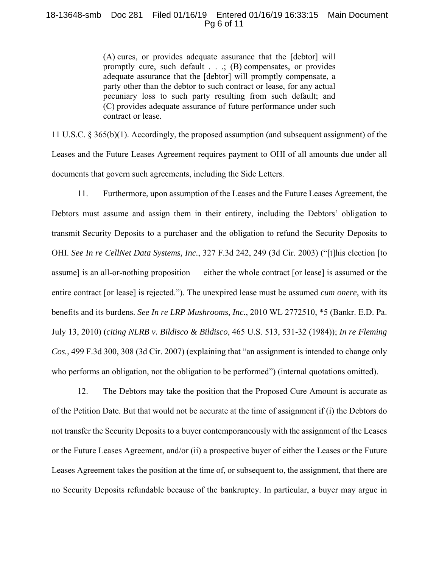## 18-13648-smb Doc 281 Filed 01/16/19 Entered 01/16/19 16:33:15 Main Document Pg 6 of 11

(A) cures, or provides adequate assurance that the [debtor] will promptly cure, such default . . .; (B) compensates, or provides adequate assurance that the [debtor] will promptly compensate, a party other than the debtor to such contract or lease, for any actual pecuniary loss to such party resulting from such default; and (C) provides adequate assurance of future performance under such contract or lease.

11 U.S.C. § 365(b)(1). Accordingly, the proposed assumption (and subsequent assignment) of the Leases and the Future Leases Agreement requires payment to OHI of all amounts due under all documents that govern such agreements, including the Side Letters.

11. Furthermore, upon assumption of the Leases and the Future Leases Agreement, the Debtors must assume and assign them in their entirety, including the Debtors' obligation to transmit Security Deposits to a purchaser and the obligation to refund the Security Deposits to OHI. *See In re CellNet Data Systems, Inc.*, 327 F.3d 242, 249 (3d Cir. 2003) ("[t]his election [to assume] is an all-or-nothing proposition — either the whole contract [or lease] is assumed or the entire contract [or lease] is rejected."). The unexpired lease must be assumed *cum onere*, with its benefits and its burdens. *See In re LRP Mushrooms, Inc.*, 2010 WL 2772510, \*5 (Bankr. E.D. Pa. July 13, 2010) (*citing NLRB v. Bildisco & Bildisco*, 465 U.S. 513, 531-32 (1984)); *In re Fleming Cos.*, 499 F.3d 300, 308 (3d Cir. 2007) (explaining that "an assignment is intended to change only who performs an obligation, not the obligation to be performed") (internal quotations omitted).

12. The Debtors may take the position that the Proposed Cure Amount is accurate as of the Petition Date. But that would not be accurate at the time of assignment if (i) the Debtors do not transfer the Security Deposits to a buyer contemporaneously with the assignment of the Leases or the Future Leases Agreement, and/or (ii) a prospective buyer of either the Leases or the Future Leases Agreement takes the position at the time of, or subsequent to, the assignment, that there are no Security Deposits refundable because of the bankruptcy. In particular, a buyer may argue in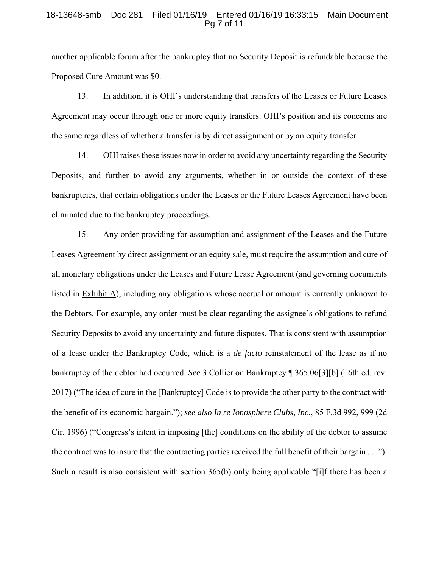#### 18-13648-smb Doc 281 Filed 01/16/19 Entered 01/16/19 16:33:15 Main Document Pg 7 of 11

another applicable forum after the bankruptcy that no Security Deposit is refundable because the Proposed Cure Amount was \$0.

13. In addition, it is OHI's understanding that transfers of the Leases or Future Leases Agreement may occur through one or more equity transfers. OHI's position and its concerns are the same regardless of whether a transfer is by direct assignment or by an equity transfer.

14. OHI raises these issues now in order to avoid any uncertainty regarding the Security Deposits, and further to avoid any arguments, whether in or outside the context of these bankruptcies, that certain obligations under the Leases or the Future Leases Agreement have been eliminated due to the bankruptcy proceedings.

15. Any order providing for assumption and assignment of the Leases and the Future Leases Agreement by direct assignment or an equity sale, must require the assumption and cure of all monetary obligations under the Leases and Future Lease Agreement (and governing documents listed in Exhibit A), including any obligations whose accrual or amount is currently unknown to the Debtors. For example, any order must be clear regarding the assignee's obligations to refund Security Deposits to avoid any uncertainty and future disputes. That is consistent with assumption of a lease under the Bankruptcy Code, which is a *de facto* reinstatement of the lease as if no bankruptcy of the debtor had occurred. *See* 3 Collier on Bankruptcy ¶ 365.06[3][b] (16th ed. rev. 2017) ("The idea of cure in the [Bankruptcy] Code is to provide the other party to the contract with the benefit of its economic bargain."); *see also In re Ionosphere Clubs, Inc.*, 85 F.3d 992, 999 (2d Cir. 1996) ("Congress's intent in imposing [the] conditions on the ability of the debtor to assume the contract was to insure that the contracting parties received the full benefit of their bargain . . ."). Such a result is also consistent with section 365(b) only being applicable "[i]f there has been a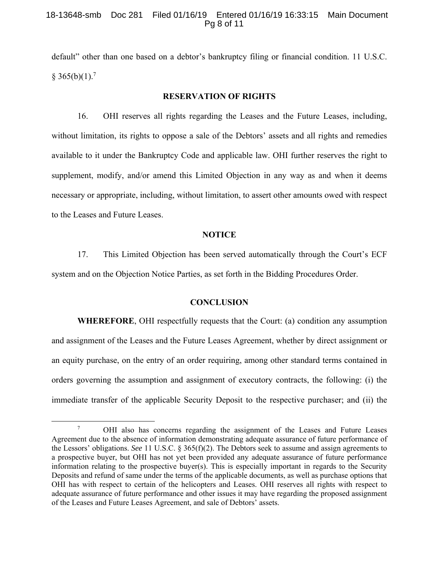## 18-13648-smb Doc 281 Filed 01/16/19 Entered 01/16/19 16:33:15 Main Document Pg 8 of 11

default" other than one based on a debtor's bankruptcy filing or financial condition. 11 U.S.C.  $§ 365(b)(1).^{7}$ 

# **RESERVATION OF RIGHTS**

16. OHI reserves all rights regarding the Leases and the Future Leases, including, without limitation, its rights to oppose a sale of the Debtors' assets and all rights and remedies available to it under the Bankruptcy Code and applicable law. OHI further reserves the right to supplement, modify, and/or amend this Limited Objection in any way as and when it deems necessary or appropriate, including, without limitation, to assert other amounts owed with respect to the Leases and Future Leases.

#### **NOTICE**

17. This Limited Objection has been served automatically through the Court's ECF system and on the Objection Notice Parties, as set forth in the Bidding Procedures Order.

## **CONCLUSION**

**WHEREFORE**, OHI respectfully requests that the Court: (a) condition any assumption and assignment of the Leases and the Future Leases Agreement, whether by direct assignment or an equity purchase, on the entry of an order requiring, among other standard terms contained in orders governing the assumption and assignment of executory contracts, the following: (i) the immediate transfer of the applicable Security Deposit to the respective purchaser; and (ii) the

 $\begin{array}{c|c}\n\hline\n\end{array}$ <sup>7</sup> OHI also has concerns regarding the assignment of the Leases and Future Leases Agreement due to the absence of information demonstrating adequate assurance of future performance of the Lessors' obligations. *See* 11 U.S.C. § 365(f)(2). The Debtors seek to assume and assign agreements to a prospective buyer, but OHI has not yet been provided any adequate assurance of future performance information relating to the prospective buyer(s). This is especially important in regards to the Security Deposits and refund of same under the terms of the applicable documents, as well as purchase options that OHI has with respect to certain of the helicopters and Leases. OHI reserves all rights with respect to adequate assurance of future performance and other issues it may have regarding the proposed assignment of the Leases and Future Leases Agreement, and sale of Debtors' assets.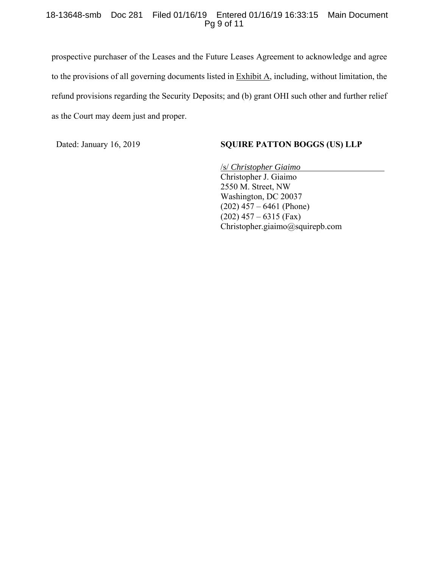## 18-13648-smb Doc 281 Filed 01/16/19 Entered 01/16/19 16:33:15 Main Document Pg 9 of 11

prospective purchaser of the Leases and the Future Leases Agreement to acknowledge and agree to the provisions of all governing documents listed in Exhibit A, including, without limitation, the refund provisions regarding the Security Deposits; and (b) grant OHI such other and further relief as the Court may deem just and proper.

# Dated: January 16, 2019 **SQUIRE PATTON BOGGS (US) LLP**

/s/ *Christopher Giaimo*  Christopher J. Giaimo 2550 M. Street, NW Washington, DC 20037  $(202)$  457 – 6461 (Phone)  $(202)$  457 – 6315 (Fax) Christopher.giaimo@squirepb.com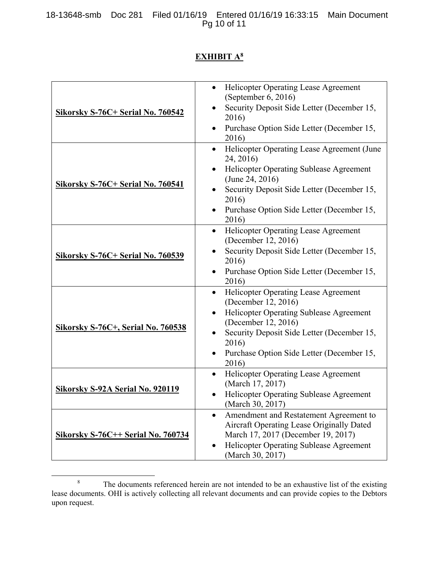18-13648-smb Doc 281 Filed 01/16/19 Entered 01/16/19 16:33:15 Main Document Pg 10 of 11

# **EXHIBIT A8**

| <b>Sikorsky S-76C+ Serial No. 760542</b>  | <b>Helicopter Operating Lease Agreement</b><br>$\bullet$<br>(September $6, 2016$ )<br>Security Deposit Side Letter (December 15,<br>2016)<br>Purchase Option Side Letter (December 15,                                                                                      |
|-------------------------------------------|-----------------------------------------------------------------------------------------------------------------------------------------------------------------------------------------------------------------------------------------------------------------------------|
|                                           | 2016)                                                                                                                                                                                                                                                                       |
| Sikorsky S-76C+ Serial No. 760541         | Helicopter Operating Lease Agreement (June<br>$\bullet$<br>24, 2016)<br>Helicopter Operating Sublease Agreement<br>(June 24, 2016)<br>Security Deposit Side Letter (December 15,<br>2016)<br>Purchase Option Side Letter (December 15,                                      |
|                                           | 2016)<br><b>Helicopter Operating Lease Agreement</b><br>$\bullet$                                                                                                                                                                                                           |
| <b>Sikorsky S-76C+ Serial No. 760539</b>  | (December 12, 2016)<br>Security Deposit Side Letter (December 15,<br>2016)<br>Purchase Option Side Letter (December 15,<br>٠<br>2016)                                                                                                                                       |
| <b>Sikorsky S-76C+, Serial No. 760538</b> | <b>Helicopter Operating Lease Agreement</b><br>$\bullet$<br>(December 12, 2016)<br>Helicopter Operating Sublease Agreement<br>$\bullet$<br>(December 12, 2016)<br>Security Deposit Side Letter (December 15,<br>2016)<br>Purchase Option Side Letter (December 15,<br>2016) |
| <b>Sikorsky S-92A Serial No. 920119</b>   | Helicopter Operating Lease Agreement<br>٠<br>(March 17, 2017)<br><b>Helicopter Operating Sublease Agreement</b><br>(March 30, 2017)                                                                                                                                         |
| <b>Sikorsky S-76C++ Serial No. 760734</b> | Amendment and Restatement Agreement to<br>$\bullet$<br>Aircraft Operating Lease Originally Dated<br>March 17, 2017 (December 19, 2017)<br><b>Helicopter Operating Sublease Agreement</b><br>(March 30, 2017)                                                                |

 $\frac{1}{8}$ <sup>8</sup> The documents referenced herein are not intended to be an exhaustive list of the existing lease documents. OHI is actively collecting all relevant documents and can provide copies to the Debtors upon request.